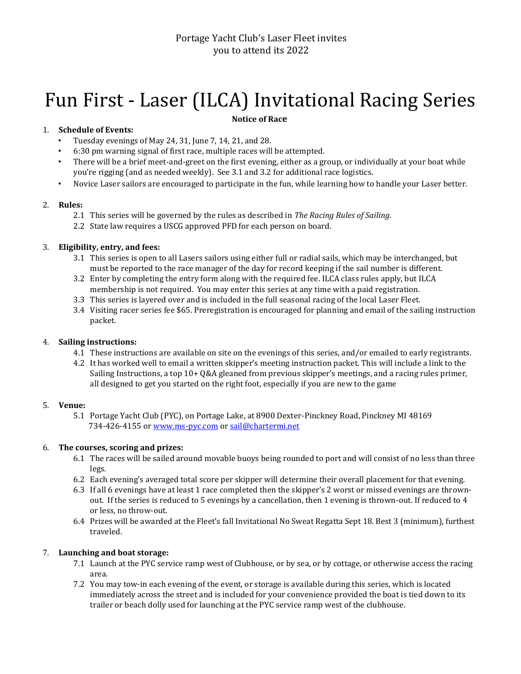# Fun First - Laser (ILCA) Invitational Racing Series

## **Notice of Race**

# 1. **Schedule of Events:**

- Tuesday evenings of May 24, 31, June 7, 14, 21, and 28.
- 6:30 pm warning signal of first race, multiple races will be attempted.
- There will be a brief meet-and-greet on the first evening, either as a group, or individually at your boat while you're rigging (and as needed weekly). See 3.1 and 3.2 for additional race logistics.
- Novice Laser sailors are encouraged to participate in the fun, while learning how to handle your Laser better.

## 2. **Rules:**

- 2.1 This series will be governed by the rules as described in *The Racing Rules of Sailing*.
- 2.2 State law requires a USCG approved PFD for each person on board.

# 3. **Eligibility, entry, and fees:**

- 3.1 This series is open to all Lasers sailors using either full or radial sails, which may be interchanged, but must be reported to the race manager of the day for record keeping if the sail number is different.
- 3.2 Enter by completing the entry form along with the required fee. ILCA class rules apply, but ILCA membership is not required. You may enter this series at any time with a paid registration.
- 3.3 This series is layered over and is included in the full seasonal racing of the local Laser Fleet.
- 3.4 Visiting racer series fee \$65. Preregistration is encouraged for planning and email of the sailing instruction packet.

# 4. **Sailing instructions:**

- 4.1 These instructions are available on site on the evenings of this series, and/or emailed to early registrants.
- 4.2 It has worked well to email a written skipper's meeting instruction packet. This will include a link to the Sailing Instructions, a top 10+ Q&A gleaned from previous skipper's meetings, and a racing rules primer, all designed to get you started on the right foot, especially if you are new to the game

## 5. **Venue:**

<span id="page-0-0"></span>5.1 Portage Yacht Club (PYC), on Portage Lake, at 8900 Dexter-Pinckney Road, Pinckney MI 48169 734-426-4155 [or www.ms-pyc.com](http://www.ms-pyc.co/) or sail@chartermi.net

## 6. **The courses, scoring and prizes:**

- 6.1 The races will be sailed around movable buoys being rounded to port and will consist of no less than three legs.
- 6.2 Each evening's averaged total score per skipper will determine their overall placement for that evening.
- 6.3 If all 6 evenings have at least 1 race completed then the skipper's 2 worst or missed evenings are thrownout. If the series is reduced to 5 evenings by a cancellation, then 1 evening is thrown-out. If reduced to 4 or less, no throw-out.
- 6.4 Prizes will be awarded at the Fleet's fall Invitational No Sweat Regatta Sept 18. Best 3 (minimum), furthest traveled.

## 7. **Launching and boat storage:**

- 7.1 Launch at the PYC service ramp west of Clubhouse, or by sea, or by cottage, or otherwise access the racing area.
- 7.2 You may tow-in each evening of the event, or storage is available during this series, which is located immediately across the street and is included for your convenience provided the boat is tied down to its trailer or beach dolly used for launching at the PYC service ramp west of the clubhouse.